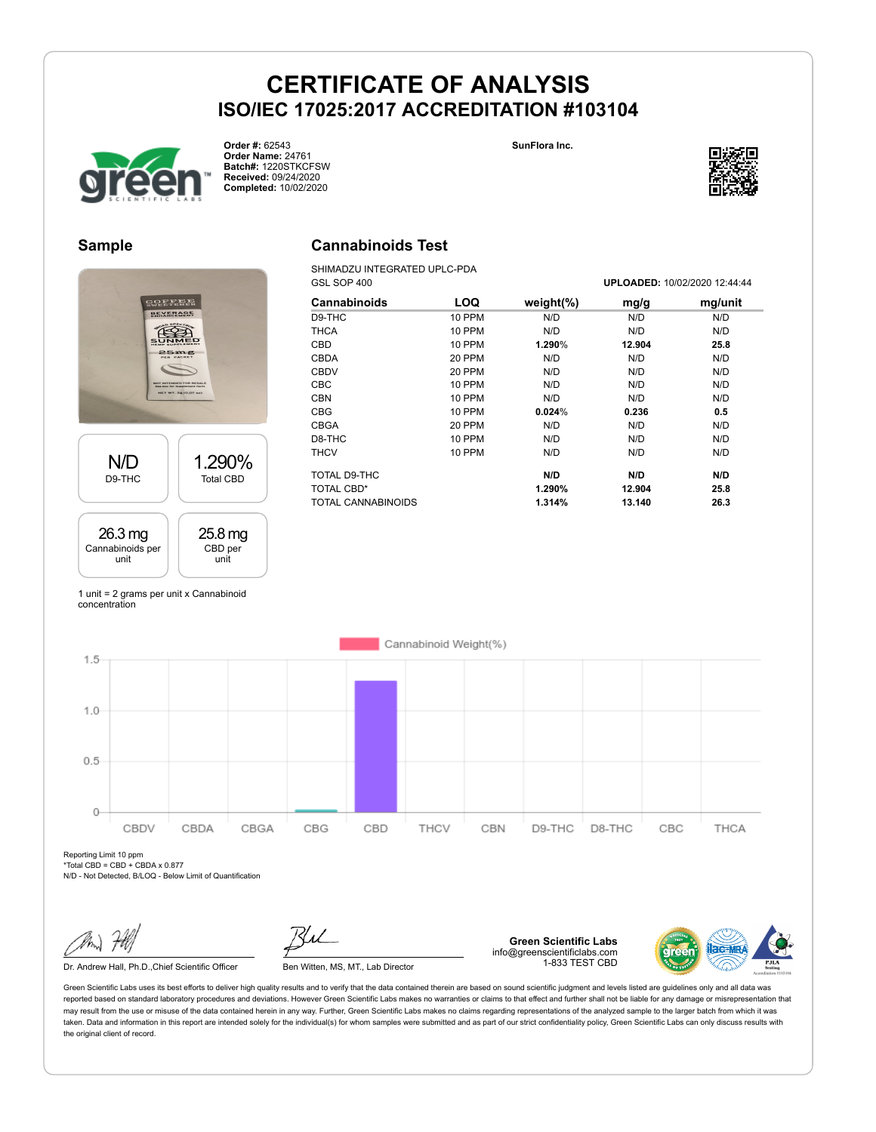

**Order #:** 62543 **Order Name:** 24761 **Batch#:** 1220STKCFSW **Received:** 09/24/2020 **Completed:** 10/02/2020

**SunFlora Inc.**



#### **Sample**



#### **Cannabinoids Test**

SHIMADZU INTEGRATED UPLC-PDA GSL SOP 400 **UPLOADED:** 10/02/2020 12:44:44

| LOQ           | weight $(\%)$ | mg/g   | mg/unit |
|---------------|---------------|--------|---------|
| 10 PPM        | N/D           | N/D    | N/D     |
| 10 PPM        | N/D           | N/D    | N/D     |
| <b>10 PPM</b> | 1.290%        | 12.904 | 25.8    |
| 20 PPM        | N/D           | N/D    | N/D     |
| 20 PPM        | N/D           | N/D    | N/D     |
| <b>10 PPM</b> | N/D           | N/D    | N/D     |
| <b>10 PPM</b> | N/D           | N/D    | N/D     |
| 10 PPM        | 0.024%        | 0.236  | 0.5     |
| 20 PPM        | N/D           | N/D    | N/D     |
| 10 PPM        | N/D           | N/D    | N/D     |
| 10 PPM        | N/D           | N/D    | N/D     |
|               | N/D           | N/D    | N/D     |
|               | 1.290%        | 12.904 | 25.8    |
|               | 1.314%        | 13.140 | 26.3    |
|               |               |        |         |

1 unit = 2 grams per unit x Cannabinoid concentration



Reporting Limit 10 ppm \*Total CBD = CBD + CBDA x 0.877

N/D - Not Detected, B/LOQ - Below Limit of Quantification

Dr. Andrew Hall, Ph.D., Chief Scientific Officer Ben Witten, MS, MT., Lab Director

**Green Scientific Labs** info@greenscientificlabs.com 1-833 TEST CBD

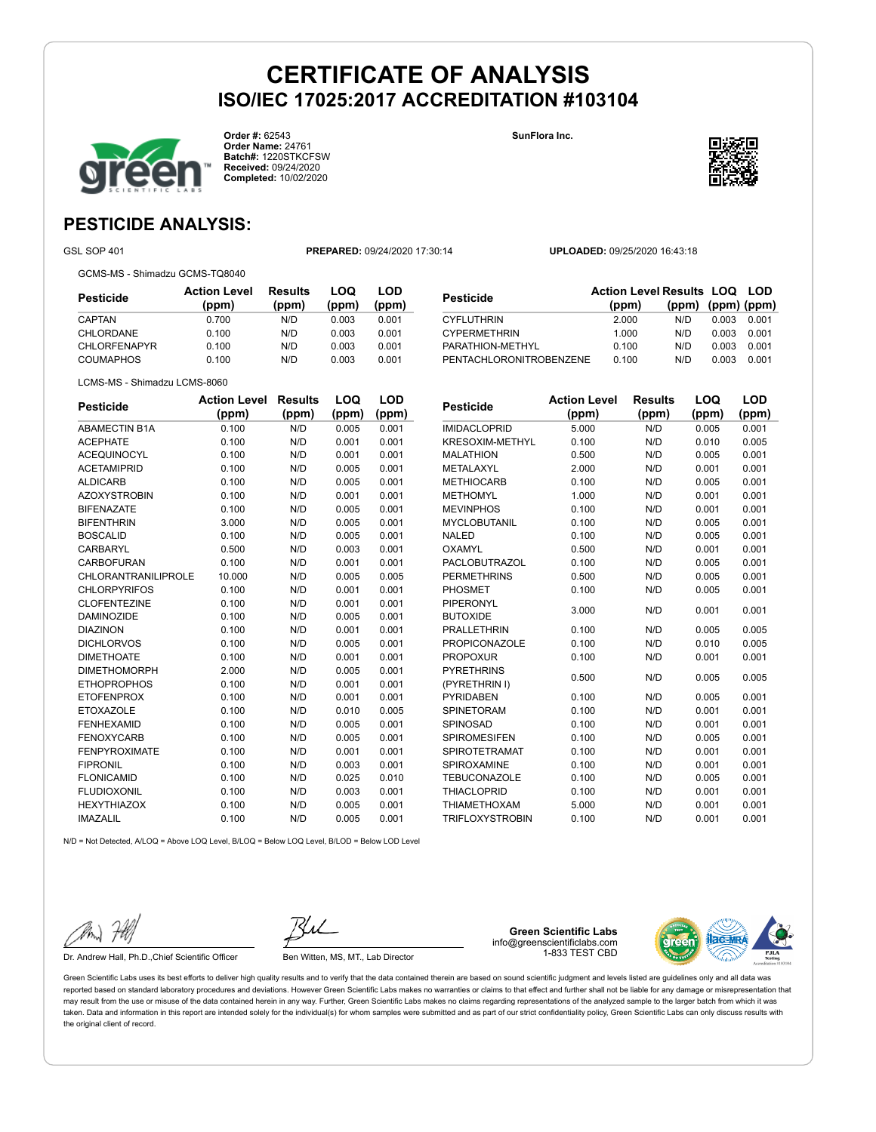**Order #:** 62543 **Order Name:** 24761 **Batch#:** 1220STKCFSW **Received:** 09/24/2020 **Completed:** 10/02/2020

**SunFlora Inc.**



### **PESTICIDE ANALYSIS:**

GSL SOP 401 **PREPARED:** 09/24/2020 17:30:14 **UPLOADED:** 09/25/2020 16:43:18

GCMS-MS - Shimadzu GCMS-TQ8040

| Pesticide           | <b>Action Level</b><br>(ppm) | <b>Results</b><br>(ppm) | LOQ<br>(ppm) | LOD<br>(ppm) |
|---------------------|------------------------------|-------------------------|--------------|--------------|
| CAPTAN              | 0.700                        | N/D                     | 0.003        | 0.001        |
| CHLORDANE           | 0.100                        | N/D                     | 0.003        | 0.001        |
| <b>CHLORFENAPYR</b> | 0.100                        | N/D                     | 0.003        | 0.001        |
| <b>COUMAPHOS</b>    | 0.100                        | N/D                     | 0.003        | 0.001        |

| Pesticide               | <b>Action Level Results LOQ LOD</b><br>(ppm) | (ppm) (ppm) (ppm) |       |       |
|-------------------------|----------------------------------------------|-------------------|-------|-------|
| CYFLUTHRIN              | 2.000                                        | N/D               | 0.003 | 0.001 |
| <b>CYPERMETHRIN</b>     | 1.000                                        | N/D               | 0.003 | 0.001 |
| PARATHION-METHYL        | 0.100                                        | N/D               | 0.003 | 0.001 |
| PENTACHLORONITROBENZENE | 0.100                                        | N/D               | 0.003 | 0.001 |

LCMS-MS - Shimadzu LCMS-8060

| <b>Pesticide</b>     | <b>Action Level</b> | <b>Results</b> | LOQ   | LOD   |
|----------------------|---------------------|----------------|-------|-------|
|                      | (ppm)               | (ppm)          | (ppm) | (ppm) |
| <b>ABAMECTIN B1A</b> | 0.100               | N/D            | 0.005 | 0.001 |
| <b>ACEPHATE</b>      | 0.100               | N/D            | 0.001 | 0.001 |
| <b>ACEQUINOCYL</b>   | 0.100               | N/D            | 0.001 | 0.001 |
| <b>ACETAMIPRID</b>   | 0.100               | N/D            | 0.005 | 0.001 |
| <b>ALDICARB</b>      | 0.100               | N/D            | 0.005 | 0.001 |
| <b>AZOXYSTROBIN</b>  | 0.100               | N/D            | 0.001 | 0.001 |
| <b>BIFENAZATE</b>    | 0.100               | N/D            | 0.005 | 0.001 |
| <b>BIFENTHRIN</b>    | 3.000               | N/D            | 0.005 | 0.001 |
| <b>BOSCALID</b>      | 0.100               | N/D            | 0.005 | 0.001 |
| CARBARYL             | 0.500               | N/D            | 0.003 | 0.001 |
| CARBOFURAN           | 0.100               | N/D            | 0.001 | 0.001 |
| CHLORANTRANILIPROLE  | 10.000              | N/D            | 0.005 | 0.005 |
| <b>CHLORPYRIFOS</b>  | 0.100               | N/D            | 0.001 | 0.001 |
| <b>CLOFENTEZINE</b>  | 0.100               | N/D            | 0.001 | 0.001 |
| <b>DAMINOZIDE</b>    | 0.100               | N/D            | 0.005 | 0.001 |
| <b>DIAZINON</b>      | 0.100               | N/D            | 0.001 | 0.001 |
| <b>DICHLORVOS</b>    | 0.100               | N/D            | 0.005 | 0.001 |
| <b>DIMETHOATE</b>    | 0.100               | N/D            | 0.001 | 0.001 |
| <b>DIMETHOMORPH</b>  | 2.000               | N/D            | 0.005 | 0.001 |
| <b>ETHOPROPHOS</b>   | 0.100               | N/D            | 0.001 | 0.001 |
| <b>ETOFENPROX</b>    | 0.100               | N/D            | 0.001 | 0.001 |
| <b>ETOXAZOLE</b>     | 0.100               | N/D            | 0.010 | 0.005 |
| <b>FENHEXAMID</b>    | 0.100               | N/D            | 0.005 | 0.001 |
| <b>FENOXYCARB</b>    | 0.100               | N/D            | 0.005 | 0.001 |
| <b>FENPYROXIMATE</b> | 0.100               | N/D            | 0.001 | 0.001 |
| <b>FIPRONIL</b>      | 0.100               | N/D            | 0.003 | 0.001 |
| <b>FLONICAMID</b>    | 0.100               | N/D            | 0.025 | 0.010 |
| <b>FLUDIOXONIL</b>   | 0.100               | N/D            | 0.003 | 0.001 |
| <b>HEXYTHIAZOX</b>   | 0.100               | N/D            | 0.005 | 0.001 |
| <b>IMAZALIL</b>      | 0.100               | N/D            | 0.005 | 0.001 |

| <b>Pesticide</b>       | <b>Action Level</b><br><b>Results</b> |       | LOQ   | LOD   |
|------------------------|---------------------------------------|-------|-------|-------|
|                        | (ppm)                                 | (ppm) | (ppm) | (ppm) |
| <b>IMIDACLOPRID</b>    | 5.000                                 | N/D   | 0.005 | 0.001 |
| <b>KRESOXIM-METHYL</b> | 0.100                                 | N/D   | 0.010 | 0.005 |
| <b>MALATHION</b>       | 0.500                                 | N/D   | 0.005 | 0.001 |
| <b>METALAXYL</b>       | 2.000                                 | N/D   | 0.001 | 0.001 |
| <b>METHIOCARB</b>      | 0.100                                 | N/D   | 0.005 | 0.001 |
| <b>METHOMYL</b>        | 1.000                                 | N/D   | 0.001 | 0.001 |
| <b>MEVINPHOS</b>       | 0.100                                 | N/D   | 0.001 | 0.001 |
| <b>MYCLOBUTANIL</b>    | 0.100                                 | N/D   | 0.005 | 0.001 |
| <b>NALED</b>           | 0.100                                 | N/D   | 0.005 | 0.001 |
| OXAMYL                 | 0.500                                 | N/D   | 0.001 | 0.001 |
| <b>PACLOBUTRAZOL</b>   | 0.100                                 | N/D   | 0.005 | 0.001 |
| <b>PERMETHRINS</b>     | 0.500                                 | N/D   | 0.005 | 0.001 |
| <b>PHOSMET</b>         | 0.100                                 | N/D   | 0.005 | 0.001 |
| <b>PIPERONYL</b>       | 3.000                                 | N/D   | 0.001 | 0.001 |
| <b>BUTOXIDE</b>        |                                       |       |       |       |
| <b>PRALLETHRIN</b>     | 0.100                                 | N/D   | 0.005 | 0.005 |
| <b>PROPICONAZOLE</b>   | 0.100                                 | N/D   | 0.010 | 0.005 |
| <b>PROPOXUR</b>        | 0.100                                 | N/D   | 0.001 | 0.001 |
| <b>PYRETHRINS</b>      | 0.500                                 | N/D   | 0.005 | 0.005 |
| (PYRETHRIN I)          |                                       |       |       |       |
| <b>PYRIDABEN</b>       | 0.100                                 | N/D   | 0.005 | 0.001 |
| <b>SPINETORAM</b>      | 0.100                                 | N/D   | 0.001 | 0.001 |
| SPINOSAD               | 0.100                                 | N/D   | 0.001 | 0.001 |
| <b>SPIROMESIFEN</b>    | 0.100                                 | N/D   | 0.005 | 0.001 |
| <b>SPIROTETRAMAT</b>   | 0.100                                 | N/D   | 0.001 | 0.001 |
| SPIROXAMINE            | 0.100                                 | N/D   | 0.001 | 0.001 |
| <b>TEBUCONAZOLE</b>    | 0.100                                 | N/D   | 0.005 | 0.001 |
| <b>THIACLOPRID</b>     | 0.100                                 | N/D   | 0.001 | 0.001 |
| <b>THIAMETHOXAM</b>    | 5.000                                 | N/D   | 0.001 | 0.001 |
| <b>TRIFLOXYSTROBIN</b> | 0.100                                 | N/D   | 0.001 | 0.001 |

N/D = Not Detected, A/LOQ = Above LOQ Level, B/LOQ = Below LOQ Level, B/LOD = Below LOD Level

Dr. Andrew Hall, Ph.D., Chief Scientific Officer Ben Witten, MS, MT., Lab Director

**Green Scientific Labs** info@greenscientificlabs.com 1-833 TEST CBD

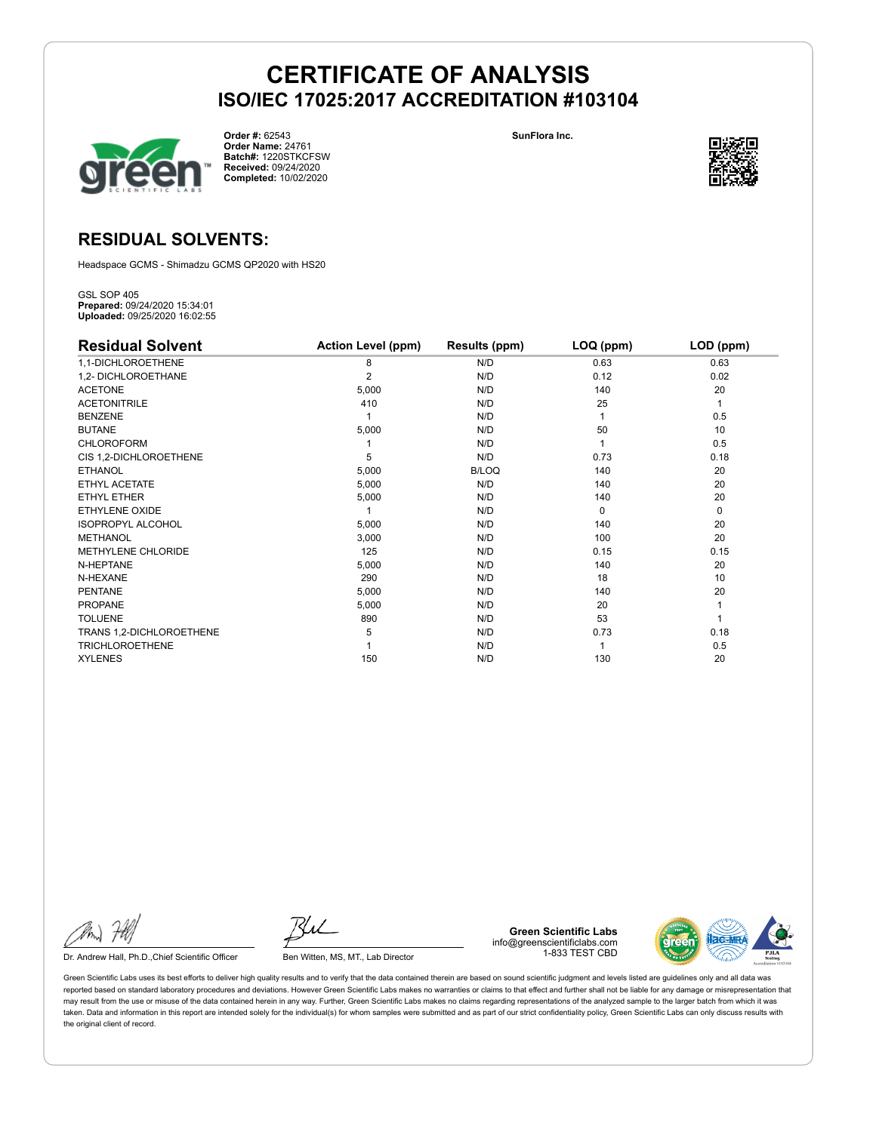

**Order #:** 62543 **Order Name:** 24761 **Batch#:** 1220STKCFSW **Received:** 09/24/2020 **Completed:** 10/02/2020

**SunFlora Inc.**



### **RESIDUAL SOLVENTS:**

Headspace GCMS - Shimadzu GCMS QP2020 with HS20

GSL SOP 405 **Prepared:** 09/24/2020 15:34:01 **Uploaded:** 09/25/2020 16:02:55

| <b>Residual Solvent</b>  | <b>Action Level (ppm)</b> | Results (ppm) | $LOQ$ (ppm) | LOD (ppm) |
|--------------------------|---------------------------|---------------|-------------|-----------|
| 1,1-DICHLOROETHENE       | 8                         | N/D           | 0.63        | 0.63      |
| 1,2- DICHLOROETHANE      | 2                         | N/D           | 0.12        | 0.02      |
| <b>ACETONE</b>           | 5,000                     | N/D           | 140         | 20        |
| <b>ACETONITRILE</b>      | 410                       | N/D           | 25          | 1         |
| <b>BENZENE</b>           |                           | N/D           |             | 0.5       |
| <b>BUTANE</b>            | 5,000                     | N/D           | 50          | 10        |
| <b>CHLOROFORM</b>        |                           | N/D           |             | 0.5       |
| CIS 1,2-DICHLOROETHENE   | 5                         | N/D           | 0.73        | 0.18      |
| <b>ETHANOL</b>           | 5,000                     | <b>B/LOQ</b>  | 140         | 20        |
| ETHYL ACETATE            | 5,000                     | N/D           | 140         | 20        |
| <b>ETHYL ETHER</b>       | 5,000                     | N/D           | 140         | 20        |
| <b>ETHYLENE OXIDE</b>    |                           | N/D           | $\Omega$    | 0         |
| <b>ISOPROPYL ALCOHOL</b> | 5,000                     | N/D           | 140         | 20        |
| <b>METHANOL</b>          | 3,000                     | N/D           | 100         | 20        |
| METHYLENE CHLORIDE       | 125                       | N/D           | 0.15        | 0.15      |
| N-HEPTANE                | 5,000                     | N/D           | 140         | 20        |
| N-HEXANE                 | 290                       | N/D           | 18          | 10        |
| <b>PENTANE</b>           | 5,000                     | N/D           | 140         | 20        |
| <b>PROPANE</b>           | 5,000                     | N/D           | 20          |           |
| <b>TOLUENE</b>           | 890                       | N/D           | 53          |           |
| TRANS 1,2-DICHLOROETHENE | 5                         | N/D           | 0.73        | 0.18      |
| <b>TRICHLOROETHENE</b>   |                           | N/D           |             | 0.5       |
| <b>XYLENES</b>           | 150                       | N/D           | 130         | 20        |

Dr. Andrew Hall, Ph.D., Chief Scientific Officer Ben Witten, MS, MT., Lab Director

**Green Scientific Labs** info@greenscientificlabs.com 1-833 TEST CBD

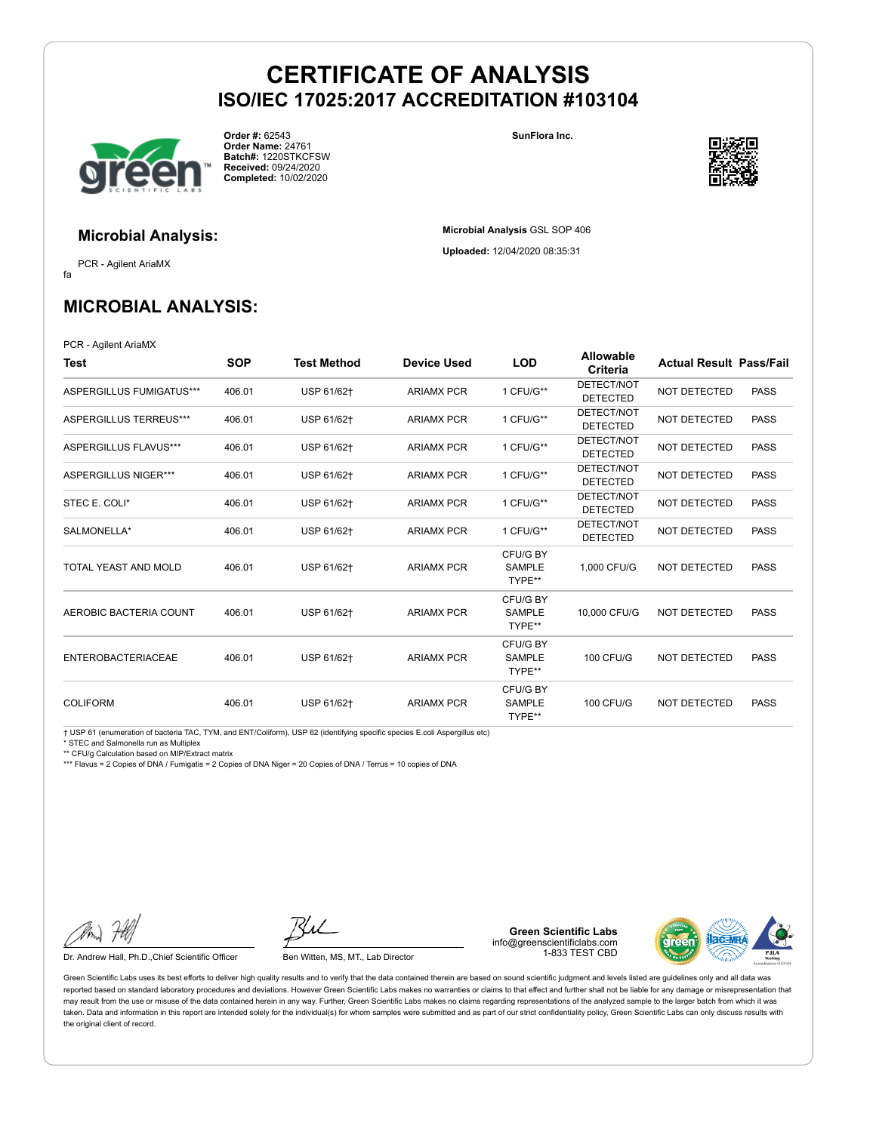

**Order #:** 62543 **Order Name:** 24761 **Batch#:** 1220STKCFSW **Received:** 09/24/2020 **Completed:** 10/02/2020

**SunFlora Inc.**

**Microbial Analysis** GSL SOP 406 **Uploaded:** 12/04/2020 08:35:31



**Microbial Analysis:**

fa PCR - Agilent AriaMX

### **MICROBIAL ANALYSIS:**

PCR - Agilent AriaMX

| Test                      | <b>SOP</b> | <b>Test Method</b> | <b>Device Used</b> | <b>LOD</b>                          | <b>Allowable</b><br>Criteria  | <b>Actual Result Pass/Fail</b> |             |
|---------------------------|------------|--------------------|--------------------|-------------------------------------|-------------------------------|--------------------------------|-------------|
| ASPERGILLUS FUMIGATUS***  | 406.01     | USP 61/62+         | <b>ARIAMX PCR</b>  | 1 CFU/G**                           | DETECT/NOT<br><b>DETECTED</b> | <b>NOT DETECTED</b>            | <b>PASS</b> |
| ASPERGILLUS TERREUS***    | 406.01     | USP 61/62+         | <b>ARIAMX PCR</b>  | 1 CFU/G**                           | DETECT/NOT<br><b>DETECTED</b> | NOT DETECTED                   | <b>PASS</b> |
| ASPERGILLUS FLAVUS***     | 406.01     | USP 61/62+         | <b>ARIAMX PCR</b>  | 1 CFU/G**                           | DETECT/NOT<br><b>DETECTED</b> | <b>NOT DETECTED</b>            | <b>PASS</b> |
| ASPERGILLUS NIGER***      | 406.01     | USP 61/62+         | <b>ARIAMX PCR</b>  | 1 CFU/G**                           | DETECT/NOT<br><b>DETECTED</b> | <b>NOT DETECTED</b>            | <b>PASS</b> |
| STEC E. COLI*             | 406.01     | USP 61/62+         | <b>ARIAMX PCR</b>  | 1 CFU/G**                           | DETECT/NOT<br><b>DETECTED</b> | NOT DETECTED                   | <b>PASS</b> |
| SALMONELLA*               | 406.01     | USP 61/62+         | <b>ARIAMX PCR</b>  | 1 CFU/G**                           | DETECT/NOT<br><b>DETECTED</b> | <b>NOT DETECTED</b>            | <b>PASS</b> |
| TOTAL YEAST AND MOLD      | 406.01     | USP 61/62+         | <b>ARIAMX PCR</b>  | CFU/G BY<br><b>SAMPLE</b><br>TYPE** | 1.000 CFU/G                   | <b>NOT DETECTED</b>            | <b>PASS</b> |
| AEROBIC BACTERIA COUNT    | 406.01     | USP 61/62+         | <b>ARIAMX PCR</b>  | CFU/G BY<br><b>SAMPLE</b><br>TYPE** | 10,000 CFU/G                  | <b>NOT DETECTED</b>            | <b>PASS</b> |
| <b>ENTEROBACTERIACEAE</b> | 406.01     | USP 61/62+         | <b>ARIAMX PCR</b>  | CFU/G BY<br><b>SAMPLE</b><br>TYPE** | <b>100 CFU/G</b>              | <b>NOT DETECTED</b>            | <b>PASS</b> |
| <b>COLIFORM</b>           | 406.01     | USP 61/62+         | <b>ARIAMX PCR</b>  | CFU/G BY<br><b>SAMPLE</b><br>TYPE** | <b>100 CFU/G</b>              | <b>NOT DETECTED</b>            | <b>PASS</b> |

† USP 61 (enumeration of bacteria TAC, TYM, and ENT/Coliform), USP 62 (identifying specific species E.coli Aspergillus etc)

\* STEC and Salmonella run as Multiplex

\*\* CFU/g Calculation based on MIP/Extract matrix

\*\*\* Flavus = 2 Copies of DNA / Fumigatis = 2 Copies of DNA Niger = 20 Copies of DNA / Terrus = 10 copies of DNA

Dr. Andrew Hall, Ph.D., Chief Scientific Officer Ben Witten, MS, MT., Lab Director

**Green Scientific Labs** info@greenscientificlabs.com 1-833 TEST CBD